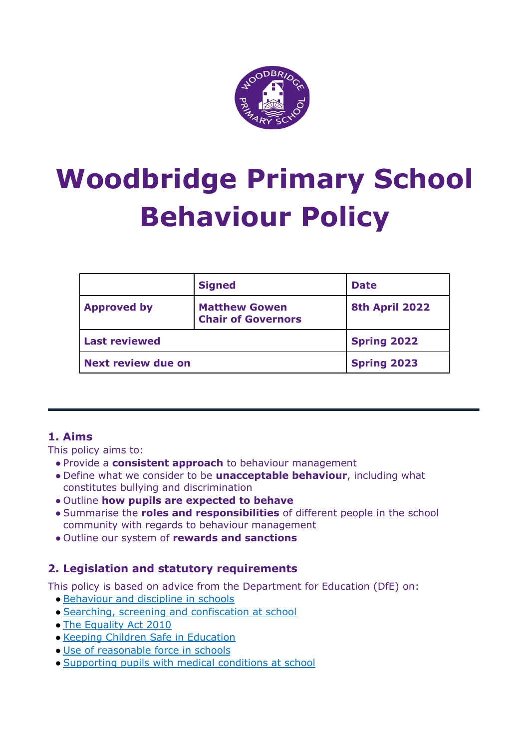

# **Woodbridge Primary School Behaviour Policy**

|                           | <b>Signed</b>                                     | <b>Date</b>        |
|---------------------------|---------------------------------------------------|--------------------|
| <b>Approved by</b>        | <b>Matthew Gowen</b><br><b>Chair of Governors</b> | 8th April 2022     |
| <b>Last reviewed</b>      |                                                   | <b>Spring 2022</b> |
| <b>Next review due on</b> |                                                   | <b>Spring 2023</b> |

# **1. Aims**

This policy aims to:

- Provide a **consistent approach** to behaviour management
- Define what we consider to be **unacceptable behaviour**, including what constitutes bullying and discrimination
- Outline **how pupils are expected to behave**
- Summarise the **roles and responsibilities** of different people in the school community with regards to behaviour management
- Outline our system of **rewards and sanctions**

# **2. Legislation and statutory requirements**

This policy is based on advice from the Department for Education (DfE) on:

- [Behaviour](https://www.gov.uk/government/publications/behaviour-and-discipline-in-schools) and discipline in schools
- Searching, screening and [confiscation](https://www.gov.uk/government/publications/searching-screening-and-confiscation) at school
- The [Equality](https://www.gov.uk/government/publications/equality-act-2010-advice-for-schools) Act 2010
- Keeping Children Safe in [Education](https://www.gov.uk/government/publications/keeping-children-safe-in-education--2)
- Use of [reasonable](https://www.gov.uk/government/publications/use-of-reasonable-force-in-schools) force in schools
- [Supporting](https://www.gov.uk/government/publications/supporting-pupils-at-school-with-medical-conditions--3) pupils with medical conditions at school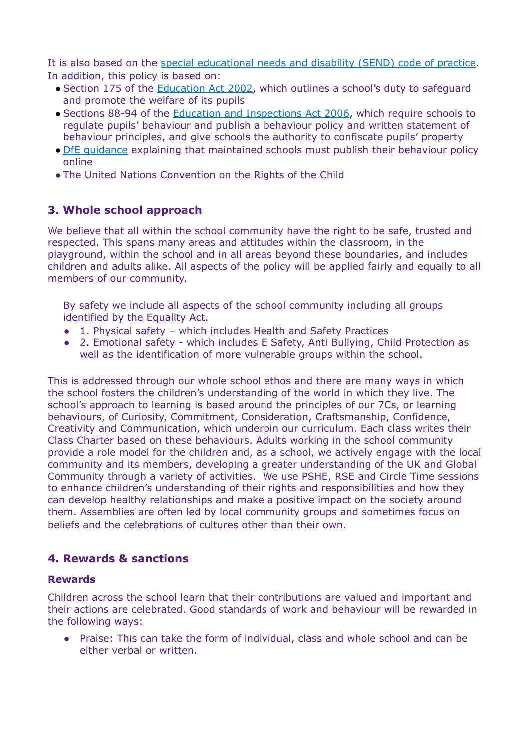It is also based on the special [educational](https://www.gov.uk/government/publications/send-code-of-practice-0-to-25) needs and disability (SEND) code of practice. In addition, this policy is based on:

- Section 175 of the [Education](http://www.legislation.gov.uk/ukpga/2002/32/section/175) Act 2002, which outlines a school's duty to safeguard and promote the welfare of its pupils
- Sections 88-94 of the Education and [Inspections](http://www.legislation.gov.uk/ukpga/2006/40/section/88) Act 2006, which require schools to regulate pupils' behaviour and publish a behaviour policy and written statement of behaviour principles, and give schools the authority to confiscate pupils' property
- DfE [guidance](https://www.gov.uk/guidance/what-maintained-schools-must-publish-online#behaviour-policy) explaining that maintained schools must publish their behaviour policy online
- The United Nations Convention on the Rights of the Child

# **3. Whole school approach**

We believe that all within the school community have the right to be safe, trusted and respected. This spans many areas and attitudes within the classroom, in the playground, within the school and in all areas beyond these boundaries, and includes children and adults alike. All aspects of the policy will be applied fairly and equally to all members of our community.

By safety we include all aspects of the school community including all groups identified by the Equality Act.

- 1. Physical safety which includes Health and Safety Practices
- 2. Emotional safety which includes E Safety, Anti Bullying, Child Protection as well as the identification of more vulnerable groups within the school.

This is addressed through our whole school ethos and there are many ways in which the school fosters the children's understanding of the world in which they live. The school's approach to learning is based around the principles of our 7Cs, or learning behaviours, of Curiosity, Commitment, Consideration, Craftsmanship, Confidence, Creativity and Communication, which underpin our curriculum. Each class writes their Class Charter based on these behaviours. Adults working in the school community provide a role model for the children and, as a school, we actively engage with the local community and its members, developing a greater understanding of the UK and Global Community through a variety of activities. We use PSHE, RSE and Circle Time sessions to enhance children's understanding of their rights and responsibilities and how they can develop healthy relationships and make a positive impact on the society around them. Assemblies are often led by local community groups and sometimes focus on beliefs and the celebrations of cultures other than their own.

## **4. Rewards & sanctions**

#### **Rewards**

Children across the school learn that their contributions are valued and important and their actions are celebrated. Good standards of work and behaviour will be rewarded in the following ways:

● Praise: This can take the form of individual, class and whole school and can be either verbal or written.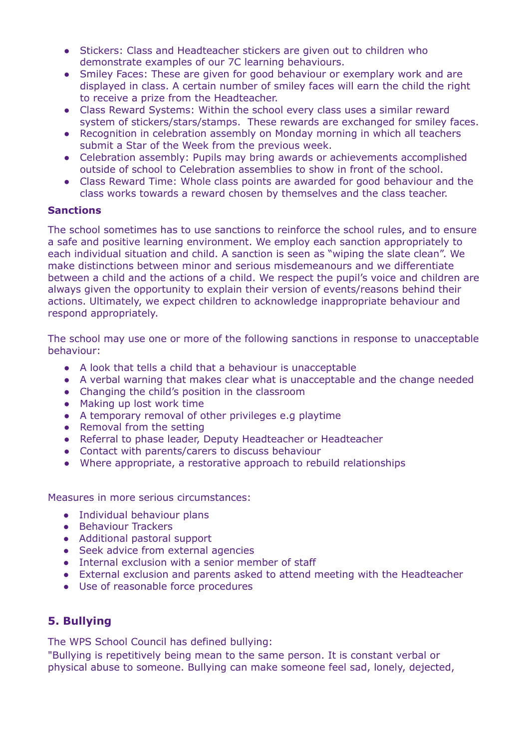- Stickers: Class and Headteacher stickers are given out to children who demonstrate examples of our 7C learning behaviours.
- Smiley Faces: These are given for good behaviour or exemplary work and are displayed in class. A certain number of smiley faces will earn the child the right to receive a prize from the Headteacher.
- Class Reward Systems: Within the school every class uses a similar reward system of stickers/stars/stamps. These rewards are exchanged for smiley faces.
- Recognition in celebration assembly on Monday morning in which all teachers submit a Star of the Week from the previous week.
- Celebration assembly: Pupils may bring awards or achievements accomplished outside of school to Celebration assemblies to show in front of the school.
- Class Reward Time: Whole class points are awarded for good behaviour and the class works towards a reward chosen by themselves and the class teacher.

#### **Sanctions**

The school sometimes has to use sanctions to reinforce the school rules, and to ensure a safe and positive learning environment. We employ each sanction appropriately to each individual situation and child. A sanction is seen as "wiping the slate clean". We make distinctions between minor and serious misdemeanours and we differentiate between a child and the actions of a child. We respect the pupil's voice and children are always given the opportunity to explain their version of events/reasons behind their actions. Ultimately, we expect children to acknowledge inappropriate behaviour and respond appropriately.

The school may use one or more of the following sanctions in response to unacceptable behaviour:

- A look that tells a child that a behaviour is unacceptable
- A verbal warning that makes clear what is unacceptable and the change needed
- Changing the child's position in the classroom
- Making up lost work time
- A temporary removal of other privileges e.g playtime
- Removal from the setting
- Referral to phase leader, Deputy Headteacher or Headteacher
- Contact with parents/carers to discuss behaviour
- Where appropriate, a restorative approach to rebuild relationships

Measures in more serious circumstances:

- Individual behaviour plans
- Behaviour Trackers
- Additional pastoral support
- Seek advice from external agencies
- Internal exclusion with a senior member of staff
- External exclusion and parents asked to attend meeting with the Headteacher
- Use of reasonable force procedures

## **5. Bullying**

The WPS School Council has defined bullying:

"Bullying is repetitively being mean to the same person. It is constant verbal or physical abuse to someone. Bullying can make someone feel sad, lonely, dejected,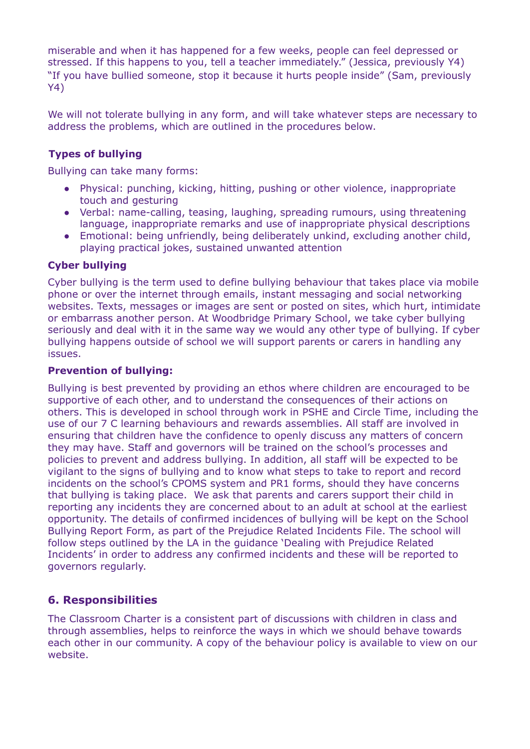miserable and when it has happened for a few weeks, people can feel depressed or stressed. If this happens to you, tell a teacher immediately." (Jessica, previously Y4) "If you have bullied someone, stop it because it hurts people inside" (Sam, previously Y4)

We will not tolerate bullying in any form, and will take whatever steps are necessary to address the problems, which are outlined in the procedures below.

## **Types of bullying**

Bullying can take many forms:

- Physical: punching, kicking, hitting, pushing or other violence, inappropriate touch and gesturing
- Verbal: name-calling, teasing, laughing, spreading rumours, using threatening language, inappropriate remarks and use of inappropriate physical descriptions
- Emotional: being unfriendly, being deliberately unkind, excluding another child, playing practical jokes, sustained unwanted attention

#### **Cyber bullying**

Cyber bullying is the term used to define bullying behaviour that takes place via mobile phone or over the internet through emails, instant messaging and social networking websites. Texts, messages or images are sent or posted on sites, which hurt, intimidate or embarrass another person. At Woodbridge Primary School, we take cyber bullying seriously and deal with it in the same way we would any other type of bullying. If cyber bullying happens outside of school we will support parents or carers in handling any issues.

#### **Prevention of bullying:**

Bullying is best prevented by providing an ethos where children are encouraged to be supportive of each other, and to understand the consequences of their actions on others. This is developed in school through work in PSHE and Circle Time, including the use of our 7 C learning behaviours and rewards assemblies. All staff are involved in ensuring that children have the confidence to openly discuss any matters of concern they may have. Staff and governors will be trained on the school's processes and policies to prevent and address bullying. In addition, all staff will be expected to be vigilant to the signs of bullying and to know what steps to take to report and record incidents on the school's CPOMS system and PR1 forms, should they have concerns that bullying is taking place. We ask that parents and carers support their child in reporting any incidents they are concerned about to an adult at school at the earliest opportunity. The details of confirmed incidences of bullying will be kept on the School Bullying Report Form, as part of the Prejudice Related Incidents File. The school will follow steps outlined by the LA in the guidance 'Dealing with Prejudice Related Incidents' in order to address any confirmed incidents and these will be reported to governors regularly.

## **6. Responsibilities**

The Classroom Charter is a consistent part of discussions with children in class and through assemblies, helps to reinforce the ways in which we should behave towards each other in our community. A copy of the behaviour policy is available to view on our website.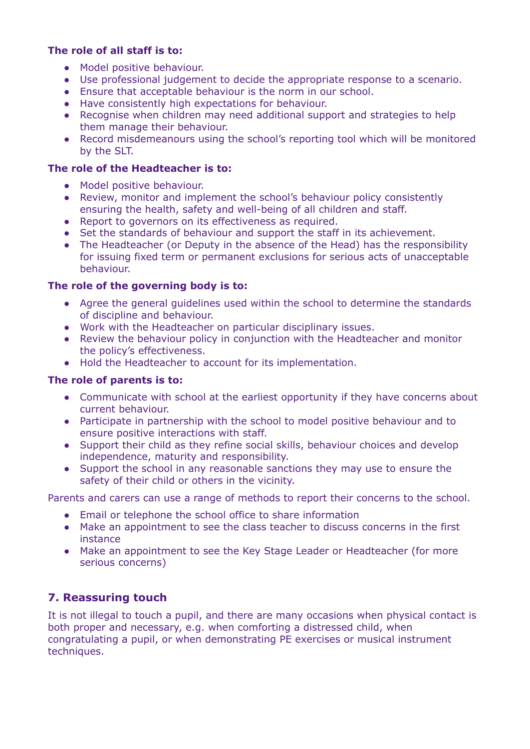### **The role of all staff is to:**

- Model positive behaviour.
- Use professional judgement to decide the appropriate response to a scenario.
- Ensure that acceptable behaviour is the norm in our school.
- Have consistently high expectations for behaviour.
- Recognise when children may need additional support and strategies to help them manage their behaviour.
- **●** Record misdemeanours using the school's reporting tool which will be monitored by the SLT.

#### **The role of the Headteacher is to:**

- Model positive behaviour.
- Review, monitor and implement the school's behaviour policy consistently ensuring the health, safety and well-being of all children and staff.
- Report to governors on its effectiveness as required.
- Set the standards of behaviour and support the staff in its achievement.
- The Headteacher (or Deputy in the absence of the Head) has the responsibility for issuing fixed term or permanent exclusions for serious acts of unacceptable behaviour.

#### **The role of the governing body is to:**

- Agree the general guidelines used within the school to determine the standards of discipline and behaviour.
- Work with the Headteacher on particular disciplinary issues.
- Review the behaviour policy in conjunction with the Headteacher and monitor the policy's effectiveness.
- Hold the Headteacher to account for its implementation.

#### **The role of parents is to:**

- Communicate with school at the earliest opportunity if they have concerns about current behaviour.
- Participate in partnership with the school to model positive behaviour and to ensure positive interactions with staff.
- Support their child as they refine social skills, behaviour choices and develop independence, maturity and responsibility.
- Support the school in any reasonable sanctions they may use to ensure the safety of their child or others in the vicinity.

Parents and carers can use a range of methods to report their concerns to the school.

- Email or telephone the school office to share information
- Make an appointment to see the class teacher to discuss concerns in the first instance
- Make an appointment to see the Key Stage Leader or Headteacher (for more serious concerns)

## **7. Reassuring touch**

It is not illegal to touch a pupil, and there are many occasions when physical contact is both proper and necessary, e.g. when comforting a distressed child, when congratulating a pupil, or when demonstrating PE exercises or musical instrument techniques.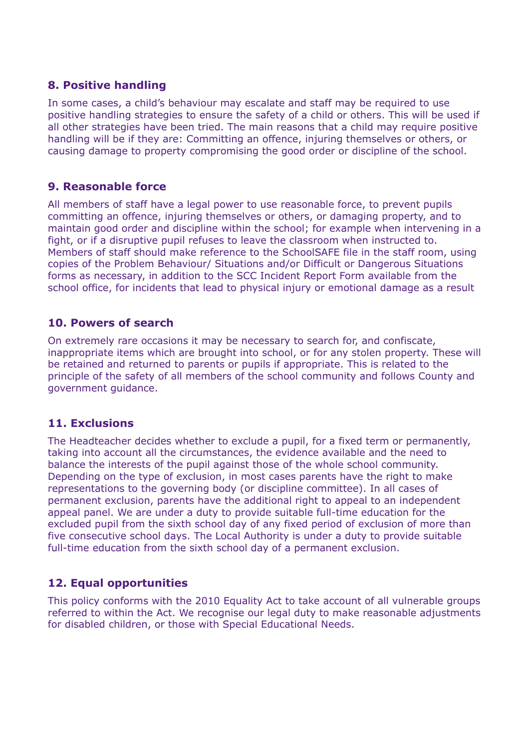## **8. Positive handling**

In some cases, a child's behaviour may escalate and staff may be required to use positive handling strategies to ensure the safety of a child or others. This will be used if all other strategies have been tried. The main reasons that a child may require positive handling will be if they are: Committing an offence, injuring themselves or others, or causing damage to property compromising the good order or discipline of the school.

# **9. Reasonable force**

All members of staff have a legal power to use reasonable force, to prevent pupils committing an offence, injuring themselves or others, or damaging property, and to maintain good order and discipline within the school; for example when intervening in a fight, or if a disruptive pupil refuses to leave the classroom when instructed to. Members of staff should make reference to the SchoolSAFE file in the staff room, using copies of the Problem Behaviour/ Situations and/or Difficult or Dangerous Situations forms as necessary, in addition to the SCC Incident Report Form available from the school office, for incidents that lead to physical injury or emotional damage as a result

# **10. Powers of search**

On extremely rare occasions it may be necessary to search for, and confiscate, inappropriate items which are brought into school, or for any stolen property. These will be retained and returned to parents or pupils if appropriate. This is related to the principle of the safety of all members of the school community and follows County and government guidance.

# **11. Exclusions**

The Headteacher decides whether to exclude a pupil, for a fixed term or permanently, taking into account all the circumstances, the evidence available and the need to balance the interests of the pupil against those of the whole school community. Depending on the type of exclusion, in most cases parents have the right to make representations to the governing body (or discipline committee). In all cases of permanent exclusion, parents have the additional right to appeal to an independent appeal panel. We are under a duty to provide suitable full-time education for the excluded pupil from the sixth school day of any fixed period of exclusion of more than five consecutive school days. The Local Authority is under a duty to provide suitable full-time education from the sixth school day of a permanent exclusion.

# **12. Equal opportunities**

This policy conforms with the 2010 Equality Act to take account of all vulnerable groups referred to within the Act. We recognise our legal duty to make reasonable adjustments for disabled children, or those with Special Educational Needs.